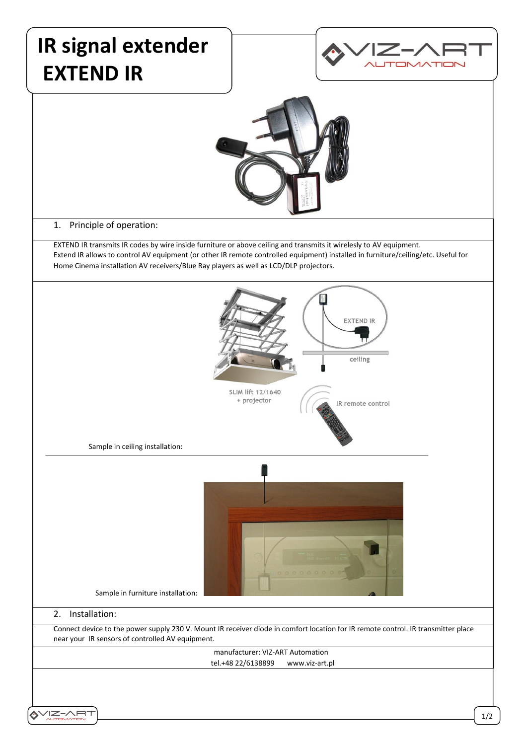